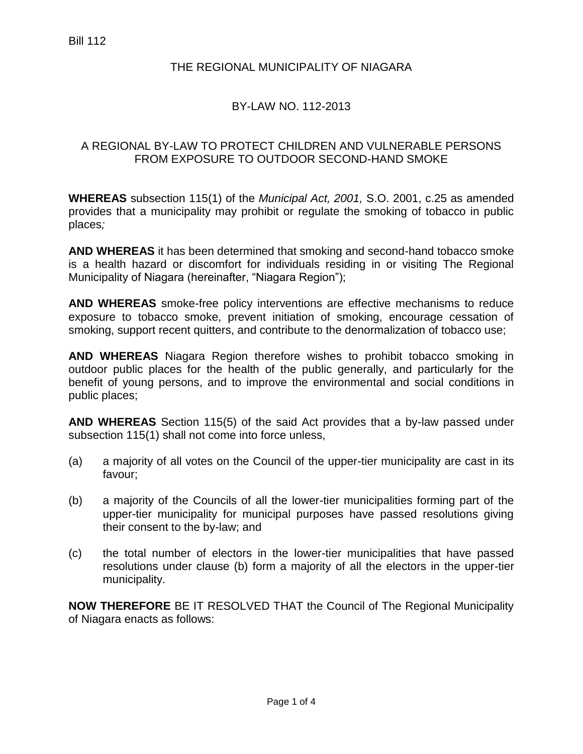### THE REGIONAL MUNICIPALITY OF NIAGARA

### BY-LAW NO. 112-2013

#### A REGIONAL BY-LAW TO PROTECT CHILDREN AND VULNERABLE PERSONS FROM EXPOSURE TO OUTDOOR SECOND-HAND SMOKE

**WHEREAS** subsection 115(1) of the *Municipal Act, 2001,* S.O. 2001, c.25 as amended provides that a municipality may prohibit or regulate the smoking of tobacco in public places*;*

**AND WHEREAS** it has been determined that smoking and second-hand tobacco smoke is a health hazard or discomfort for individuals residing in or visiting The Regional Municipality of Niagara (hereinafter, "Niagara Region");

**AND WHEREAS** smoke-free policy interventions are effective mechanisms to reduce exposure to tobacco smoke, prevent initiation of smoking, encourage cessation of smoking, support recent quitters, and contribute to the denormalization of tobacco use;

**AND WHEREAS** Niagara Region therefore wishes to prohibit tobacco smoking in outdoor public places for the health of the public generally, and particularly for the benefit of young persons, and to improve the environmental and social conditions in public places;

**AND WHEREAS** Section 115(5) of the said Act provides that a by-law passed under subsection 115(1) shall not come into force unless,

- (a) a majority of all votes on the Council of the upper-tier municipality are cast in its favour;
- (b) a majority of the Councils of all the lower-tier municipalities forming part of the upper-tier municipality for municipal purposes have passed resolutions giving their consent to the by-law; and
- (c) the total number of electors in the lower-tier municipalities that have passed resolutions under clause (b) form a majority of all the electors in the upper-tier municipality.

**NOW THEREFORE** BE IT RESOLVED THAT the Council of The Regional Municipality of Niagara enacts as follows: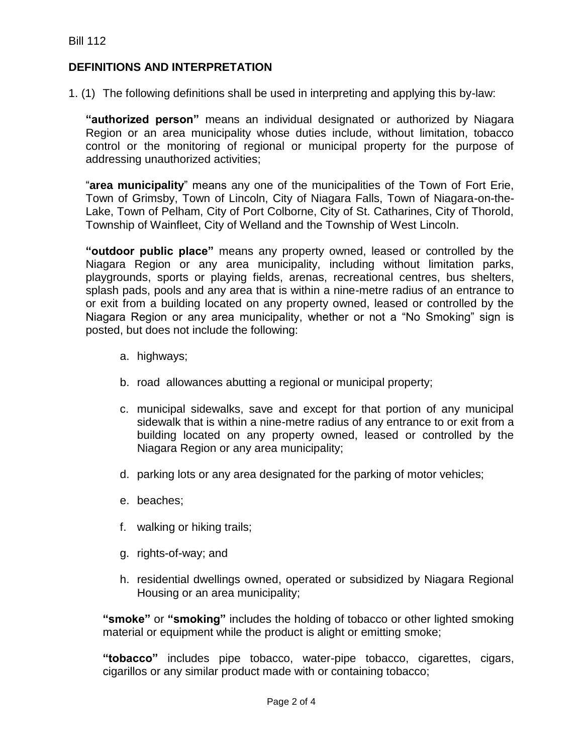## **DEFINITIONS AND INTERPRETATION**

1. (1) The following definitions shall be used in interpreting and applying this by-law:

**"authorized person"** means an individual designated or authorized by Niagara Region or an area municipality whose duties include, without limitation, tobacco control or the monitoring of regional or municipal property for the purpose of addressing unauthorized activities;

"**area municipality**" means any one of the municipalities of the Town of Fort Erie, Town of Grimsby, Town of Lincoln, City of Niagara Falls, Town of Niagara-on-the-Lake, Town of Pelham, City of Port Colborne, City of St. Catharines, City of Thorold, Township of Wainfleet, City of Welland and the Township of West Lincoln.

**"outdoor public place"** means any property owned, leased or controlled by the Niagara Region or any area municipality, including without limitation parks, playgrounds, sports or playing fields, arenas, recreational centres, bus shelters, splash pads, pools and any area that is within a nine-metre radius of an entrance to or exit from a building located on any property owned, leased or controlled by the Niagara Region or any area municipality, whether or not a "No Smoking" sign is posted, but does not include the following:

- a. highways;
- b. road allowances abutting a regional or municipal property;
- c. municipal sidewalks, save and except for that portion of any municipal sidewalk that is within a nine-metre radius of any entrance to or exit from a building located on any property owned, leased or controlled by the Niagara Region or any area municipality;
- d. parking lots or any area designated for the parking of motor vehicles;
- e. beaches;
- f. walking or hiking trails;
- g. rights-of-way; and
- h. residential dwellings owned, operated or subsidized by Niagara Regional Housing or an area municipality;

**"smoke"** or **"smoking"** includes the holding of tobacco or other lighted smoking material or equipment while the product is alight or emitting smoke;

**"tobacco"** includes pipe tobacco, water-pipe tobacco, cigarettes, cigars, cigarillos or any similar product made with or containing tobacco;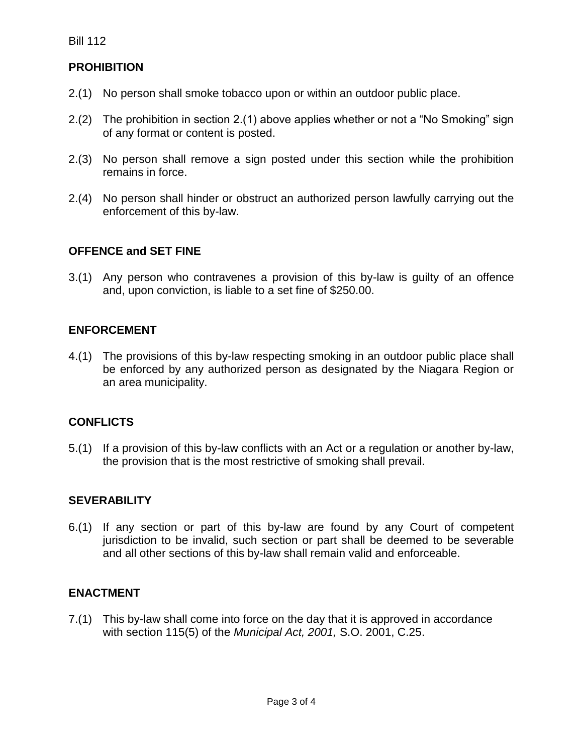# **PROHIBITION**

- 2.(1) No person shall smoke tobacco upon or within an outdoor public place.
- 2.(2) The prohibition in section 2.(1) above applies whether or not a "No Smoking" sign of any format or content is posted.
- 2.(3) No person shall remove a sign posted under this section while the prohibition remains in force.
- 2.(4) No person shall hinder or obstruct an authorized person lawfully carrying out the enforcement of this by-law.

# **OFFENCE and SET FINE**

3.(1) Any person who contravenes a provision of this by-law is guilty of an offence and, upon conviction, is liable to a set fine of \$250.00.

## **ENFORCEMENT**

4.(1) The provisions of this by-law respecting smoking in an outdoor public place shall be enforced by any authorized person as designated by the Niagara Region or an area municipality.

## **CONFLICTS**

5.(1) If a provision of this by-law conflicts with an Act or a regulation or another by-law, the provision that is the most restrictive of smoking shall prevail.

#### **SEVERABILITY**

6.(1) If any section or part of this by-law are found by any Court of competent jurisdiction to be invalid, such section or part shall be deemed to be severable and all other sections of this by-law shall remain valid and enforceable.

# **ENACTMENT**

7.(1) This by-law shall come into force on the day that it is approved in accordance with section 115(5) of the *Municipal Act, 2001,* S.O. 2001, C.25.